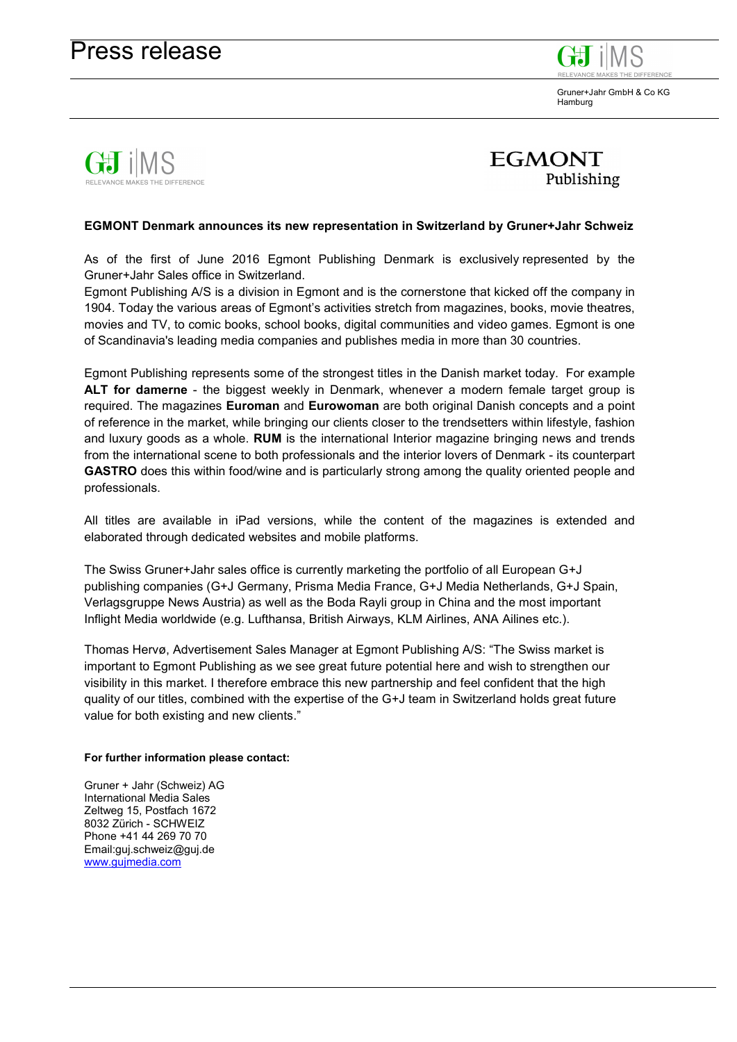Gruner+Jahr GmbH & Co KG Hamburg





## **EGMONT Denmark announces its new representation in Switzerland by Gruner+Jahr Schweiz**

As of the first of June 2016 Egmont Publishing Denmark is exclusively represented by the Gruner+Jahr Sales office in Switzerland.

Egmont Publishing A/S is a division in Egmont and is the cornerstone that kicked off the company in 1904. Today the various areas of Egmont's activities stretch from magazines, books, movie theatres, movies and TV, to comic books, school books, digital communities and video games. Egmont is one of Scandinavia's leading media companies and publishes media in more than 30 countries.

Egmont Publishing represents some of the strongest titles in the Danish market today. For example **ALT for damerne** - the biggest weekly in Denmark, whenever a modern female target group is required. The magazines **Euroman** and **Eurowoman** are both original Danish concepts and a point of reference in the market, while bringing our clients closer to the trendsetters within lifestyle, fashion and luxury goods as a whole. **RUM** is the international Interior magazine bringing news and trends from the international scene to both professionals and the interior lovers of Denmark - its counterpart **GASTRO** does this within food/wine and is particularly strong among the quality oriented people and professionals.

All titles are available in iPad versions, while the content of the magazines is extended and elaborated through dedicated websites and mobile platforms.

The Swiss Gruner+Jahr sales office is currently marketing the portfolio of all European G+J publishing companies (G+J Germany, Prisma Media France, G+J Media Netherlands, G+J Spain, Verlagsgruppe News Austria) as well as the Boda Rayli group in China and the most important Inflight Media worldwide (e.g. Lufthansa, British Airways, KLM Airlines, ANA Ailines etc.).

Thomas Hervø, Advertisement Sales Manager at Egmont Publishing A/S: "The Swiss market is important to Egmont Publishing as we see great future potential here and wish to strengthen our visibility in this market. I therefore embrace this new partnership and feel confident that the high quality of our titles, combined with the expertise of the G+J team in Switzerland holds great future value for both existing and new clients."

## **For further information please contact:**

Gruner + Jahr (Schweiz) AG International Media Sales Zeltweg 15, Postfach 1672 8032 Zürich - SCHWEIZ Phone +41 44 269 70 70 Email:guj.schweiz@guj.de [www.gujmedia.com](http://www.gujmedia.com/)